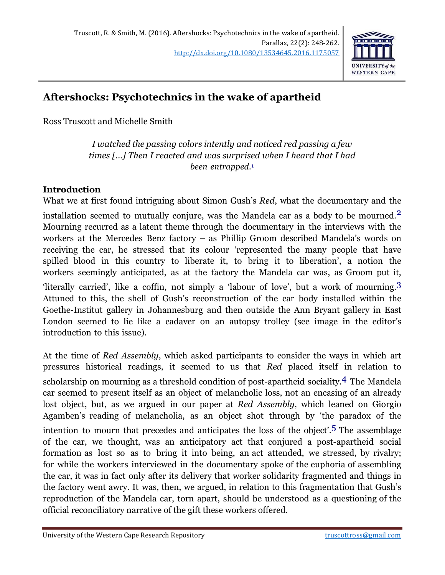

## **Aftershocks: Psychotechnics in the wake of apartheid**

Ross Truscott and Michelle Smith

*I watched the passing colors intently and noticed red passing a few times [...] Then I reacted and was surprised when I heard that I had been entrapped*. 1

## **Introduction**

What we at first found intriguing about Simon Gush's *Red*, what the documentary and the

installation seemed to mutually conjure, was the Mandela car as a body to be mourned.2 Mourning recurred as a latent theme through the documentary in the interviews with the workers at the Mercedes Benz factory – as Phillip Groom described Mandela's words on receiving the car, he stressed that its colour 'represented the many people that have spilled blood in this country to liberate it, to bring it to liberation', a notion the workers seemingly anticipated, as at the factory the Mandela car was, as Groom put it, 'literally carried', like a coffin, not simply a 'labour of love', but a work of mourning.3 Attuned to this, the shell of Gush's reconstruction of the car body installed within the Goethe-Institut gallery in Johannesburg and then outside the Ann Bryant gallery in East London seemed to lie like a cadaver on an autopsy trolley (see image in the editor's introduction to this issue).

At the time of *Red Assembly*, which asked participants to consider the ways in which art pressures historical readings, it seemed to us that *Red* placed itself in relation to scholarship on mourning as a threshold condition of post-apartheid sociality.<sup>4</sup> The Mandela car seemed to present itself as an object of melancholic loss, not an encasing of an already lost object, but, as we argued in our paper at *Red Assembly*, which leaned on Giorgio Agamben's reading of melancholia, as an object shot through by 'the paradox of the intention to mourn that precedes and anticipates the loss of the object'. 5 The assemblage of the car, we thought, was an anticipatory act that conjured a post-apartheid social formation as lost so as to bring it into being, an act attended, we stressed, by rivalry; for while the workers interviewed in the documentary spoke of the euphoria of assembling the car, it was in fact only after its delivery that worker solidarity fragmented and things in the factory went awry. It was, then, we argued, in relation to this fragmentation that Gush's reproduction of the Mandela car, torn apart, should be understood as a questioning of the official reconciliatory narrative of the gift these workers offered.